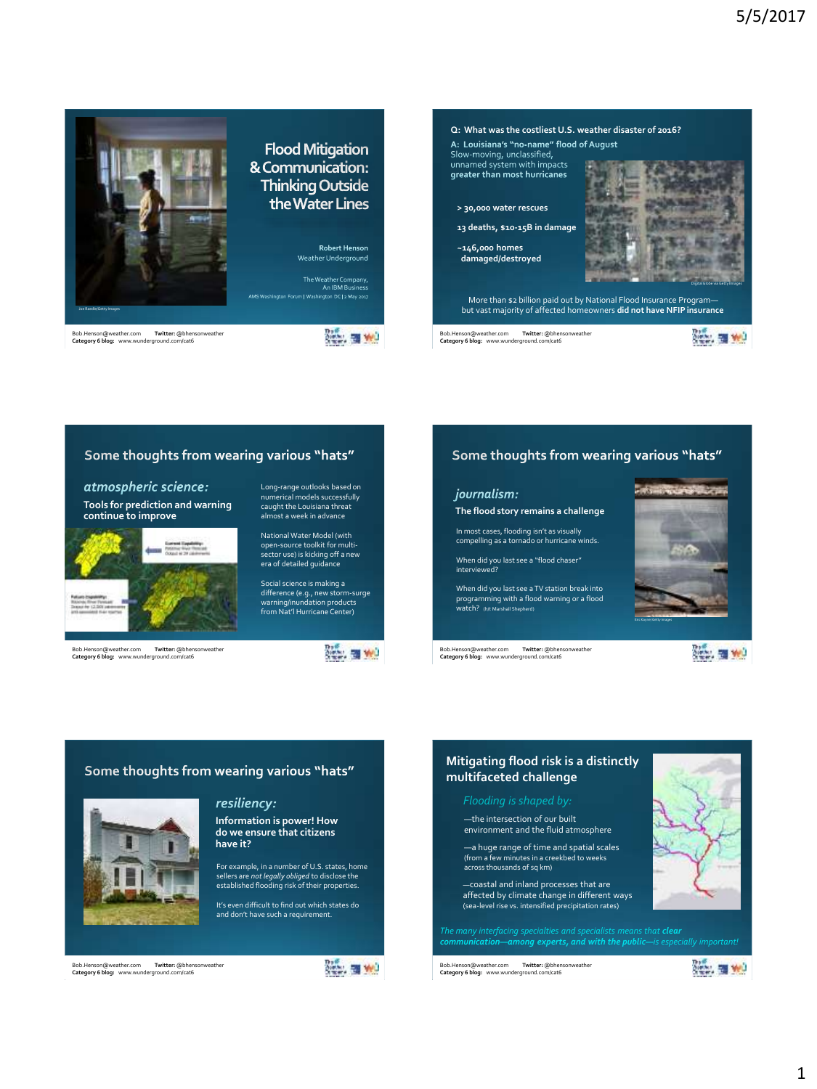

## Some thoughts from wearing various "hats"

atmospheric science: **Tools for prediction and warning** 



Bob.Henson@weather.com **Twitter:**@bhensonweather **Category 6 blog:** www.wunderground.com/cat6

Long-range outlooks based on numerical models successfully caught the Louisiana threat almost a week in advance

National Water Model (with open-source toolkit for multi-sector use) is kicking off a new era of detailed guidance

Social science is making a difference (e.g., new storm-surge warning/inundation products from Nat'l Hurricane Center)



## Some thoughts from wearing various "hats"

#### iournalism:

**continue to improve The flood story remains a challenge**

In most cases, flooding isn't as visually compelling as a tornado or hurricane winds. When did you last see a "flood chaser"

interviewed? When did you last see a TV station break into<br>programming with a flood warning or a flood<br>watch? (h/t Marshall Shepherd)

Bob.Henson@weather.com **Twitter:** @bhensonweather **Category 6 blog:** www.wunderground.com/cat6



Sieter, Ell Well

# Some thoughts from wearing various "hats"



### resiliency:

**Information is power! How do we ensure that citizens have it?**

For example, in a number of U.S. states, home sellers are *not legally obliged* to disclose the established flooding risk of their properties.

It's even difficult to find out which states do and don't have such a requirement.

Bob.Henson@weather.com **Twitter:**@bhensonweather **Category 6 blog:** www.wunderground.com/cat6



# **Mitigating flood risk is a distinctly multifaceted challenge**

—the intersection of our built environment and the fluid atmosphere

—a huge range of time and spatial scales (from a few minutes in a creekbed to weeks across thousands of sq km)

—coastal and inland processes that are affected by climate change in different ways (sea-level rise vs. intensified precipitation rates)

*The many interfacing specialties and specialists means that clear communication—among experts, and with the public—is especially important!* 

Bob.Henson@weather.com **Twitter:** @bhensonweather **Category 6 blog:** www.wunderground.com/cat6